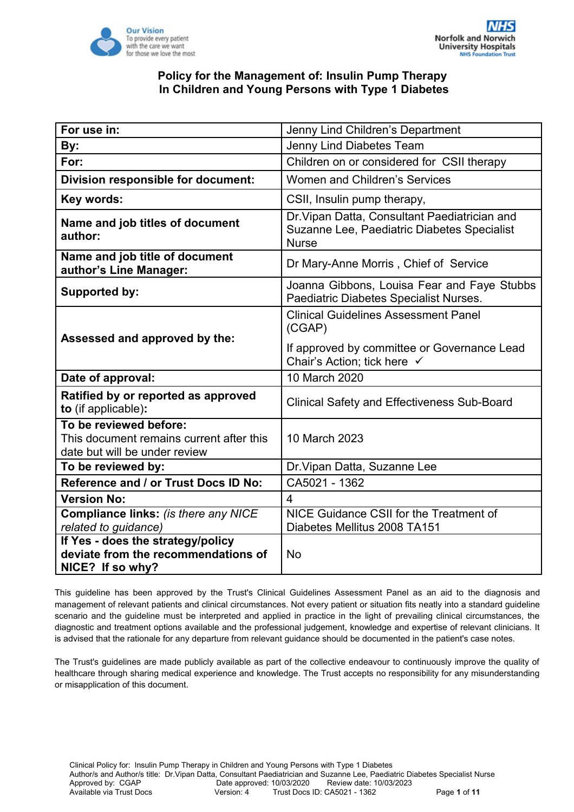

| For use in:                                                                                         | Jenny Lind Children's Department                                                                             |
|-----------------------------------------------------------------------------------------------------|--------------------------------------------------------------------------------------------------------------|
| By:                                                                                                 | Jenny Lind Diabetes Team                                                                                     |
| For:                                                                                                | Children on or considered for CSII therapy                                                                   |
| Division responsible for document:                                                                  | <b>Women and Children's Services</b>                                                                         |
| Key words:                                                                                          | CSII, Insulin pump therapy,                                                                                  |
| Name and job titles of document<br>author:                                                          | Dr. Vipan Datta, Consultant Paediatrician and<br>Suzanne Lee, Paediatric Diabetes Specialist<br><b>Nurse</b> |
| Name and job title of document<br>author's Line Manager:                                            | Dr Mary-Anne Morris, Chief of Service                                                                        |
| Supported by:                                                                                       | Joanna Gibbons, Louisa Fear and Faye Stubbs<br>Paediatric Diabetes Specialist Nurses.                        |
| Assessed and approved by the:                                                                       | <b>Clinical Guidelines Assessment Panel</b><br>(CGAP)                                                        |
|                                                                                                     | If approved by committee or Governance Lead<br>Chair's Action; tick here √                                   |
| 10 March 2020<br>Date of approval:                                                                  |                                                                                                              |
| Ratified by or reported as approved<br>to (if applicable):                                          | <b>Clinical Safety and Effectiveness Sub-Board</b>                                                           |
| To be reviewed before:<br>This document remains current after this<br>date but will be under review | 10 March 2023                                                                                                |
| To be reviewed by:                                                                                  | Dr. Vipan Datta, Suzanne Lee                                                                                 |
| Reference and / or Trust Docs ID No:                                                                | CA5021 - 1362                                                                                                |
| <b>Version No:</b>                                                                                  | $\overline{4}$                                                                                               |
| <b>Compliance links: (is there any NICE</b><br>related to guidance)                                 | NICE Guidance CSII for the Treatment of<br>Diabetes Mellitus 2008 TA151                                      |
| If Yes - does the strategy/policy<br>deviate from the recommendations of<br>NICE? If so why?        | <b>No</b>                                                                                                    |

This guideline has been approved by the Trust's Clinical Guidelines Assessment Panel as an aid to the diagnosis and management of relevant patients and clinical circumstances. Not every patient or situation fits neatly into a standard guideline scenario and the guideline must be interpreted and applied in practice in the light of prevailing clinical circumstances, the diagnostic and treatment options available and the professional judgement, knowledge and expertise of relevant clinicians. It is advised that the rationale for any departure from relevant guidance should be documented in the patient's case notes.

The Trust's guidelines are made publicly available as part of the collective endeavour to continuously improve the quality of healthcare through sharing medical experience and knowledge. The Trust accepts no responsibility for any misunderstanding or misapplication of this document.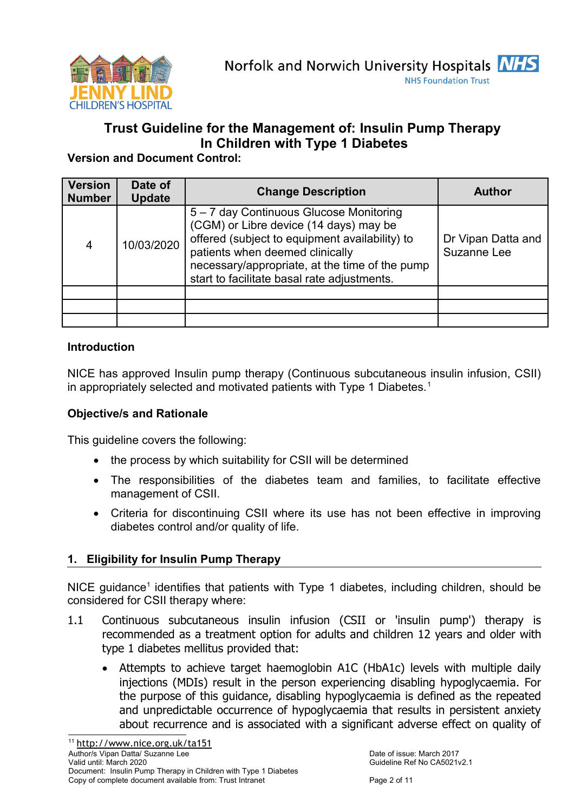

# **Trust Guideline for the Management of: Insulin Pump Therapy In Children with Type 1 Diabetes**

**Version and Document Control:**

| <b>Version</b><br><b>Number</b> | Date of<br><b>Update</b> | <b>Change Description</b>                                                                                                                                                                                                                                               | <b>Author</b>                     |
|---------------------------------|--------------------------|-------------------------------------------------------------------------------------------------------------------------------------------------------------------------------------------------------------------------------------------------------------------------|-----------------------------------|
| 4                               | 10/03/2020               | 5 - 7 day Continuous Glucose Monitoring<br>(CGM) or Libre device (14 days) may be<br>offered (subject to equipment availability) to<br>patients when deemed clinically<br>necessary/appropriate, at the time of the pump<br>start to facilitate basal rate adjustments. | Dr Vipan Datta and<br>Suzanne Lee |
|                                 |                          |                                                                                                                                                                                                                                                                         |                                   |
|                                 |                          |                                                                                                                                                                                                                                                                         |                                   |
|                                 |                          |                                                                                                                                                                                                                                                                         |                                   |

# **Introduction**

NICE has approved Insulin pump therapy (Continuous subcutaneous insulin infusion, CSII) in appropriately selected and motivated patients with Type [1](#page-1-0) Diabetes.<sup>1</sup>

# **Objective/s and Rationale**

This guideline covers the following:

- the process by which suitability for CSII will be determined
- The responsibilities of the diabetes team and families, to facilitate effective management of CSII.
- Criteria for discontinuing CSII where its use has not been effective in improving diabetes control and/or quality of life.

# **1. Eligibility for Insulin Pump Therapy**

NICE guidance<sup>1</sup> identifies that patients with Type 1 diabetes, including children, should be considered for CSII therapy where:

- <span id="page-1-0"></span>1.1 Continuous subcutaneous insulin infusion (CSII or 'insulin pump') therapy is recommended as a treatment option for adults and children 12 years and older with type 1 diabetes mellitus provided that:
	- Attempts to achieve target haemoglobin A1C (HbA1c) levels with multiple daily injections (MDIs) result in the person experiencing disabling hypoglycaemia. For the purpose of this guidance, disabling hypoglycaemia is defined as the repeated and unpredictable occurrence of hypoglycaemia that results in persistent anxiety about recurrence and is associated with a significant adverse effect on quality of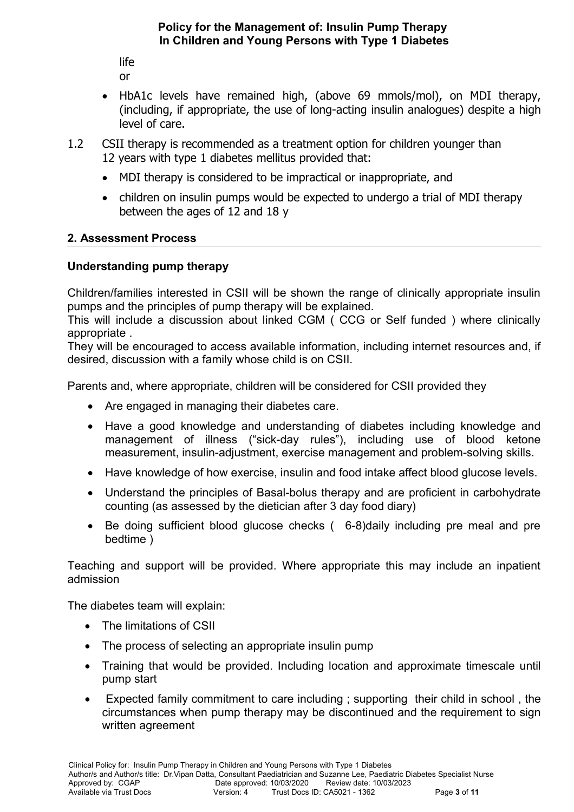life that the contract of the contract of the contract of the contract of the contract of the contract of the contract of the contract of the contract of the contract of the contract of the contract of the contract of the or

- HbA1c levels have remained high, (above 69 mmols/mol), on MDI therapy, (including, if appropriate, the use of long-acting insulin analogues) despite a high level of care.
- 1.2 CSII therapy is recommended as a treatment option for children younger than 12 years with type 1 diabetes mellitus provided that:
	- MDI therapy is considered to be impractical or inappropriate, and
	- children on insulin pumps would be expected to undergo a trial of MDI therapy between the ages of 12 and 18 y

# **2. Assessment Process**

# **Understanding pump therapy**

Children/families interested in CSII will be shown the range of clinically appropriate insulin pumps and the principles of pump therapy will be explained.

This will include a discussion about linked CGM ( CCG or Self funded ) where clinically appropriate .

They will be encouraged to access available information, including internet resources and, if desired, discussion with a family whose child is on CSII.

Parents and, where appropriate, children will be considered for CSII provided they

- Are engaged in managing their diabetes care.
- Have a good knowledge and understanding of diabetes including knowledge and management of illness ("sick-day rules"), including use of blood ketone measurement, insulin-adjustment, exercise management and problem-solving skills.
- Have knowledge of how exercise, insulin and food intake affect blood glucose levels.
- Understand the principles of Basal-bolus therapy and are proficient in carbohydrate counting (as assessed by the dietician after 3 day food diary)
- Be doing sufficient blood glucose checks ( 6-8)daily including pre meal and pre bedtime )

Teaching and support will be provided. Where appropriate this may include an inpatient admission

The diabetes team will explain:

- The limitations of CSII
- The process of selecting an appropriate insulin pump
- Training that would be provided. Including location and approximate timescale until pump start
- Expected family commitment to care including ; supporting their child in school , the circumstances when pump therapy may be discontinued and the requirement to sign written agreement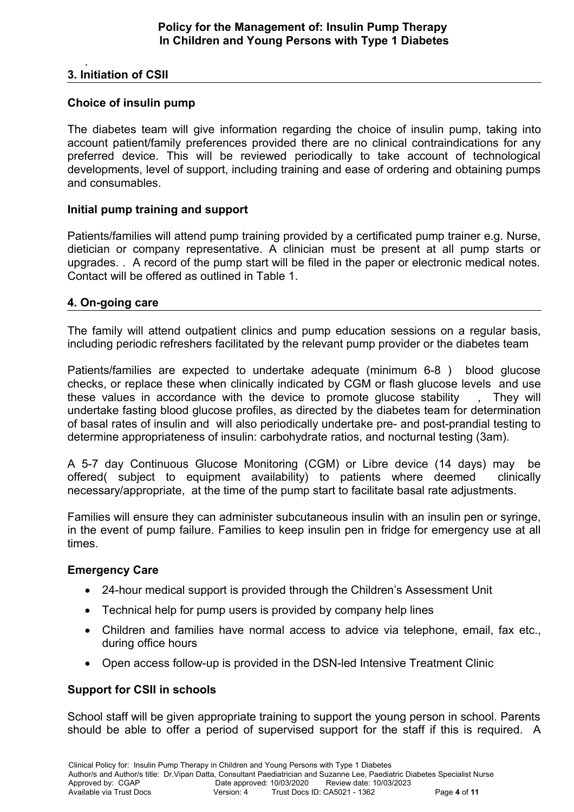### . **3. Initiation of CSII**

# **Choice of insulin pump**

The diabetes team will give information regarding the choice of insulin pump, taking into account patient/family preferences provided there are no clinical contraindications for any preferred device. This will be reviewed periodically to take account of technological developments, level of support, including training and ease of ordering and obtaining pumps and consumables.

# **Initial pump training and support**

Patients/families will attend pump training provided by a certificated pump trainer e.g. Nurse, dietician or company representative. A clinician must be present at all pump starts or upgrades. . A record of the pump start will be filed in the paper or electronic medical notes. Contact will be offered as outlined in Table 1.

# **4. On-going care**

The family will attend outpatient clinics and pump education sessions on a regular basis, including periodic refreshers facilitated by the relevant pump provider or the diabetes team

Patients/families are expected to undertake adequate (minimum 6-8 ) blood glucose checks, or replace these when clinically indicated by CGM or flash glucose levels and use these values in accordance with the device to promote glucose stability , They will undertake fasting blood glucose profiles, as directed by the diabetes team for determination of basal rates of insulin and will also periodically undertake pre- and post-prandial testing to determine appropriateness of insulin: carbohydrate ratios, and nocturnal testing (3am).

A 5-7 day Continuous Glucose Monitoring (CGM) or Libre device (14 days) may be offered( subject to equipment availability) to patients where deemed clinically necessary/appropriate, at the time of the pump start to facilitate basal rate adjustments.

Families will ensure they can administer subcutaneous insulin with an insulin pen or syringe, in the event of pump failure. Families to keep insulin pen in fridge for emergency use at all times.

### **Emergency Care**

- 24-hour medical support is provided through the Children's Assessment Unit
- Technical help for pump users is provided by company help lines
- Children and families have normal access to advice via telephone, email, fax etc., during office hours
- Open access follow-up is provided in the DSN-led Intensive Treatment Clinic

### **Support for CSII in schools**

School staff will be given appropriate training to support the young person in school. Parents should be able to offer a period of supervised support for the staff if this is required. A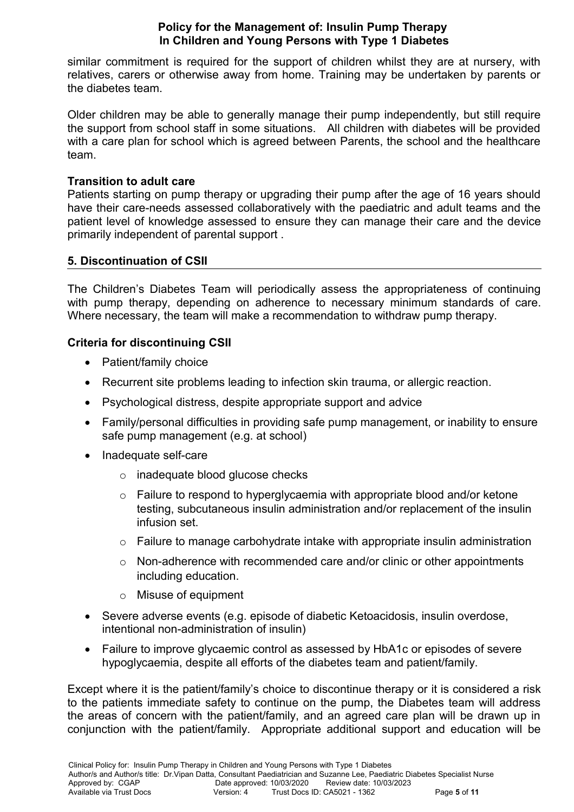similar commitment is required for the support of children whilst they are at nursery, with relatives, carers or otherwise away from home. Training may be undertaken by parents or the diabetes team.

Older children may be able to generally manage their pump independently, but still require the support from school staff in some situations. All children with diabetes will be provided with a care plan for school which is agreed between Parents, the school and the healthcare team.

### **Transition to adult care**

Patients starting on pump therapy or upgrading their pump after the age of 16 years should have their care-needs assessed collaboratively with the paediatric and adult teams and the patient level of knowledge assessed to ensure they can manage their care and the device primarily independent of parental support .

### **5. Discontinuation of CSII**

The Children's Diabetes Team will periodically assess the appropriateness of continuing with pump therapy, depending on adherence to necessary minimum standards of care. Where necessary, the team will make a recommendation to withdraw pump therapy.

# **Criteria for discontinuing CSII**

- Patient/family choice
- Recurrent site problems leading to infection skin trauma, or allergic reaction.
- Psychological distress, despite appropriate support and advice
- Family/personal difficulties in providing safe pump management, or inability to ensure safe pump management (e.g. at school)
- Inadequate self-care
	- o inadequate blood glucose checks
	- o Failure to respond to hyperglycaemia with appropriate blood and/or ketone testing, subcutaneous insulin administration and/or replacement of the insulin infusion set.
	- $\circ$  Failure to manage carbohydrate intake with appropriate insulin administration
	- o Non-adherence with recommended care and/or clinic or other appointments including education.
	- o Misuse of equipment
- Severe adverse events (e.g. episode of diabetic Ketoacidosis, insulin overdose, intentional non-administration of insulin)
- Failure to improve glycaemic control as assessed by HbA1c or episodes of severe hypoglycaemia, despite all efforts of the diabetes team and patient/family.

Except where it is the patient/family's choice to discontinue therapy or it is considered a risk to the patients immediate safety to continue on the pump, the Diabetes team will address the areas of concern with the patient/family, and an agreed care plan will be drawn up in conjunction with the patient/family. Appropriate additional support and education will be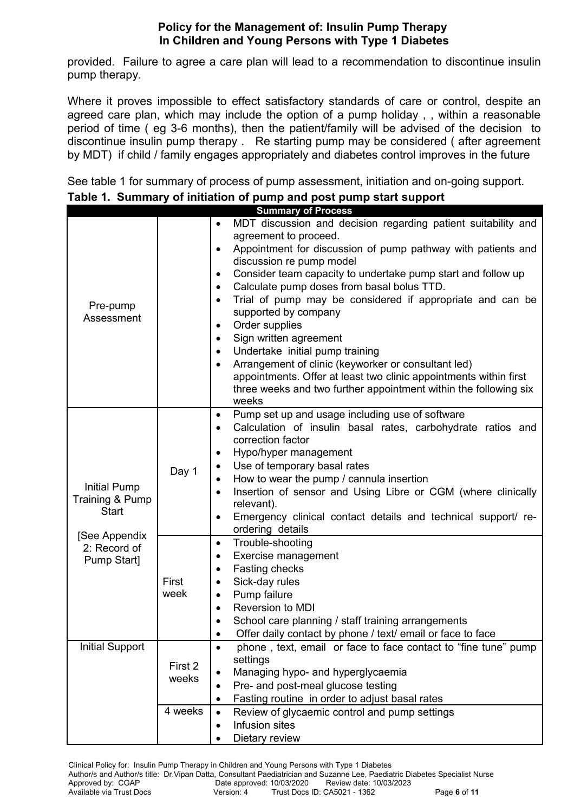provided. Failure to agree a care plan will lead to a recommendation to discontinue insulin pump therapy.

Where it proves impossible to effect satisfactory standards of care or control, despite an agreed care plan, which may include the option of a pump holiday , , within a reasonable period of time ( eg 3-6 months), then the patient/family will be advised of the decision to discontinue insulin pump therapy . Re starting pump may be considered ( after agreement by MDT) if child / family engages appropriately and diabetes control improves in the future

See table 1 for summary of process of pump assessment, initiation and on-going support.

|                             |         | <b>Summary of Process</b>                                                                                |
|-----------------------------|---------|----------------------------------------------------------------------------------------------------------|
|                             |         | MDT discussion and decision regarding patient suitability and                                            |
|                             |         | agreement to proceed.                                                                                    |
|                             |         | Appointment for discussion of pump pathway with patients and<br>$\bullet$<br>discussion re pump model    |
|                             |         | Consider team capacity to undertake pump start and follow up<br>$\bullet$                                |
|                             |         | Calculate pump doses from basal bolus TTD.<br>$\bullet$                                                  |
|                             |         | Trial of pump may be considered if appropriate and can be<br>٠                                           |
| Pre-pump                    |         | supported by company                                                                                     |
| Assessment                  |         | Order supplies<br>$\bullet$                                                                              |
|                             |         | Sign written agreement<br>$\bullet$                                                                      |
|                             |         | Undertake initial pump training<br>٠                                                                     |
|                             |         | Arrangement of clinic (keyworker or consultant led)<br>$\bullet$                                         |
|                             |         | appointments. Offer at least two clinic appointments within first                                        |
|                             |         | three weeks and two further appointment within the following six                                         |
|                             |         | weeks                                                                                                    |
|                             |         | Pump set up and usage including use of software<br>$\bullet$                                             |
|                             |         | Calculation of insulin basal rates, carbohydrate ratios and<br>$\bullet$                                 |
|                             |         | correction factor                                                                                        |
|                             |         | Hypo/hyper management<br>$\bullet$                                                                       |
|                             | Day 1   | Use of temporary basal rates                                                                             |
| <b>Initial Pump</b>         |         | How to wear the pump / cannula insertion<br>Insertion of sensor and Using Libre or CGM (where clinically |
| Training & Pump             |         | relevant).                                                                                               |
| <b>Start</b>                |         | Emergency clinical contact details and technical support/ re-                                            |
|                             |         | ordering details                                                                                         |
| [See Appendix               |         | Trouble-shooting<br>$\bullet$                                                                            |
| 2: Record of<br>Pump Start] |         | Exercise management<br>$\bullet$                                                                         |
|                             |         | Fasting checks<br>$\bullet$                                                                              |
|                             | First   | Sick-day rules                                                                                           |
|                             | week    | Pump failure                                                                                             |
|                             |         | Reversion to MDI<br>$\bullet$                                                                            |
|                             |         | School care planning / staff training arrangements                                                       |
|                             |         | Offer daily contact by phone / text/ email or face to face                                               |
| <b>Initial Support</b>      |         | phone, text, email or face to face contact to "fine tune" pump<br>$\bullet$                              |
|                             | First 2 | settings                                                                                                 |
|                             | weeks   | Managing hypo- and hyperglycaemia<br>$\bullet$                                                           |
|                             |         | Pre- and post-meal glucose testing                                                                       |
|                             |         | Fasting routine in order to adjust basal rates<br>٠                                                      |
|                             | 4 weeks | Review of glycaemic control and pump settings<br>$\bullet$                                               |
|                             |         | Infusion sites                                                                                           |
|                             |         | Dietary review                                                                                           |

| Table 1. Summary of initiation of pump and post pump start support |  |  |  |  |  |
|--------------------------------------------------------------------|--|--|--|--|--|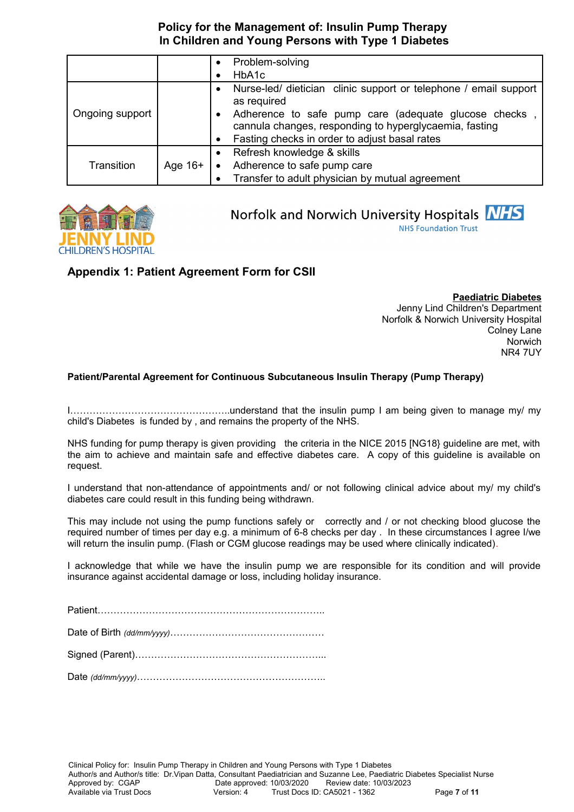|                 |           |           | Problem-solving                                                                                                 |
|-----------------|-----------|-----------|-----------------------------------------------------------------------------------------------------------------|
|                 |           |           | HbA1c                                                                                                           |
|                 |           | ٠         | Nurse-led/ dietician clinic support or telephone / email support<br>as required                                 |
| Ongoing support |           | $\bullet$ | Adherence to safe pump care (adequate glucose checks,<br>cannula changes, responding to hyperglycaemia, fasting |
|                 |           |           | Fasting checks in order to adjust basal rates                                                                   |
|                 |           |           | Refresh knowledge & skills                                                                                      |
| Transition      | Age $16+$ |           | Adherence to safe pump care                                                                                     |
|                 |           |           | Transfer to adult physician by mutual agreement                                                                 |



# Norfolk and Norwich University Hospitals NHS

**NHS Foundation Trust** 

# **Appendix 1: Patient Agreement Form for CSII**

**Paediatric Diabetes** Jenny Lind Children's Department Norfolk & Norwich University Hospital Colney Lane Norwich NR4 7UY

### **Patient/Parental Agreement for Continuous Subcutaneous Insulin Therapy (Pump Therapy)**

I…………………………………………..understand that the insulin pump I am being given to manage my/ my child's Diabetes is funded by , and remains the property of the NHS.

NHS funding for pump therapy is given providing the criteria in the NICE 2015 [NG18} guideline are met, with the aim to achieve and maintain safe and effective diabetes care. A copy of this guideline is available on request.

I understand that non-attendance of appointments and/ or not following clinical advice about my/ my child's diabetes care could result in this funding being withdrawn.

This may include not using the pump functions safely or correctly and / or not checking blood glucose the required number of times per day e.g. a minimum of 6-8 checks per day . In these circumstances I agree I/we will return the insulin pump. (Flash or CGM glucose readings may be used where clinically indicated).

I acknowledge that while we have the insulin pump we are responsible for its condition and will provide insurance against accidental damage or loss, including holiday insurance.

Patient……………………………………………………………..

Date of Birth *(dd/mm/yyyy)*…………………………………………

Signed (Parent)…………………………………………………...

Date *(dd/mm/yyyy)*…………………………………………………..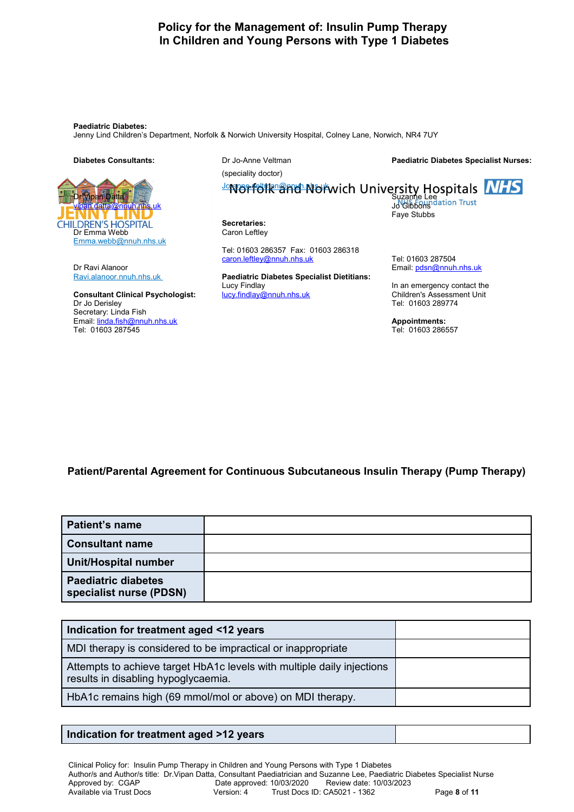**Paediatric Diabetes:** 

Jenny Lind Children's Department, Norfolk & Norwich University Hospital, Colney Lane, Norwich, NR4 7UY

#### **Diabetes Consultants:** Dr Jo-Anne Veltman

Dr Vipan Datta Suzanne Lee Suzanne Lee Suzanne Lee Suzanne Lee Suzanne Lee Suzanne Lee Suzanne Lee Suzanne Lee [vipan.datta@nnuh.nhs.uk](mailto:vipan.datta@nnuh.nhs.uk) Jo Gibbons Jo Gibbons Jo Gibbons Jo Gibbons Jo Gibbons Jo Gibbons Jo Gibbons Jo Gibbons **CHILDREN'S HOSPITAL** Dr Emma Webb Emma.webb@nnuh.nhs.uk

Dr Ravi Alanoor **Email:** [pdsn@nnuh.nhs.uk](mailto:pdsn@nnuh.nhs.uk)

**Consultant Clinical Psychologist:** [lucy.findlay@nnuh.nhs.uk](mailto:lucy.findlay@nnuh.nhs.uk) Children's Assessment Unit<br>Dr Jo Derislev Tel: 01603 289774 Secretary: Linda Fish Email: [linda.fish@nnuh.nhs.uk](mailto:linda.fish@nnuh.nhs.uk) **Appointments:**  Tel: 01603 287545 Tel: 01603 286557

**Paediatric Diabetes Specialist Nurses:**

(speciality doctor)

# Joranne.veltman@nnuh.nhs.uk

**Secretaries:** Caron Leftley

Tel: 01603 286357 Fax: 01603 286318 [caron.leftley@nnuh.nhs.uk](mailto:caron.leftley@nnuh.nhs.uk) Tel: 01603 287504

Ravi.alanoor.nnuh.nhs.uk **Paediatric Diabetes Specialist Dietitians:** Lucy Findlay **In an emergency contact the** 

Faye Stubbs

Tel: 01603 289774

**Patient/Parental Agreement for Continuous Subcutaneous Insulin Therapy (Pump Therapy)**

| <b>Patient's name</b>                                 |  |
|-------------------------------------------------------|--|
| <b>Consultant name</b>                                |  |
| Unit/Hospital number                                  |  |
| <b>Paediatric diabetes</b><br>specialist nurse (PDSN) |  |

| Indication for treatment aged <12 years                                                                       |  |
|---------------------------------------------------------------------------------------------------------------|--|
| MDI therapy is considered to be impractical or inappropriate                                                  |  |
| Attempts to achieve target HbA1c levels with multiple daily injections<br>results in disabling hypoglycaemia. |  |
| HbA1c remains high (69 mmol/mol or above) on MDI therapy.                                                     |  |

# **Indication for treatment aged >12 years**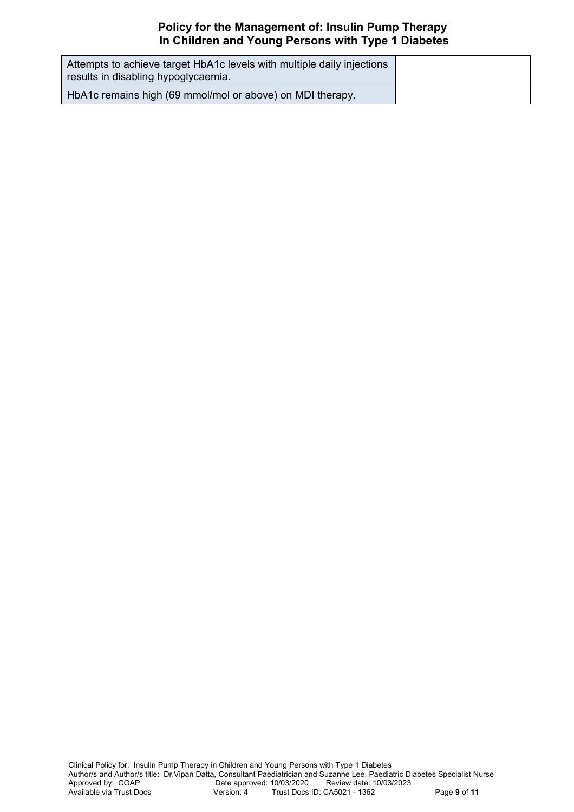| Attempts to achieve target HbA1c levels with multiple daily injections<br>results in disabling hypoglycaemia. |  |
|---------------------------------------------------------------------------------------------------------------|--|
| HbA1c remains high (69 mmol/mol or above) on MDI therapy.                                                     |  |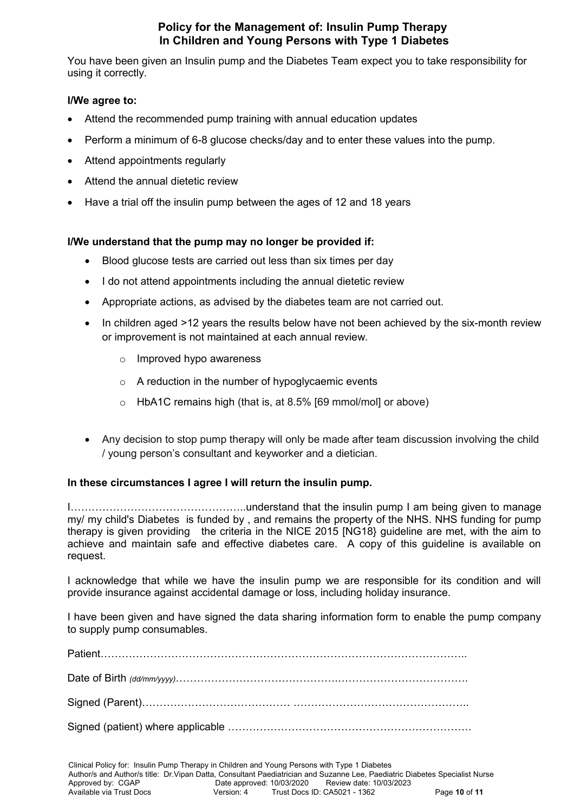You have been given an Insulin pump and the Diabetes Team expect you to take responsibility for using it correctly.

### **I/We agree to:**

- Attend the recommended pump training with annual education updates
- Perform a minimum of 6-8 glucose checks/day and to enter these values into the pump.
- Attend appointments regularly
- Attend the annual dietetic review
- Have a trial off the insulin pump between the ages of 12 and 18 years

### **I/We understand that the pump may no longer be provided if:**

- Blood glucose tests are carried out less than six times per day
- I do not attend appointments including the annual dietetic review
- Appropriate actions, as advised by the diabetes team are not carried out.
- In children aged >12 years the results below have not been achieved by the six-month review or improvement is not maintained at each annual review.
	- o Improved hypo awareness
	- o A reduction in the number of hypoglycaemic events
	- o HbA1C remains high (that is, at 8.5% [69 mmol/mol] or above)
- Any decision to stop pump therapy will only be made after team discussion involving the child / young person's consultant and keyworker and a dietician.

### **In these circumstances I agree I will return the insulin pump.**

I…………………………………………..understand that the insulin pump I am being given to manage my/ my child's Diabetes is funded by , and remains the property of the NHS. NHS funding for pump therapy is given providing the criteria in the NICE 2015 [NG18} guideline are met, with the aim to achieve and maintain safe and effective diabetes care. A copy of this guideline is available on request.

I acknowledge that while we have the insulin pump we are responsible for its condition and will provide insurance against accidental damage or loss, including holiday insurance.

I have been given and have signed the data sharing information form to enable the pump company to supply pump consumables.